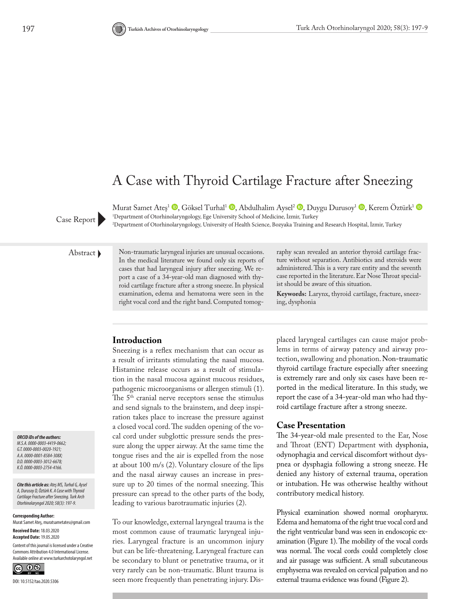# A Case with Thyroid Cartilage Fracture after Sneezing

Murat Samet Ateş<sup>1</sup> <sup>(1</sup>)[,](http://orcid.org/0000-0001-8584-308X) Göksel Turhal<sup>1</sup> <sup>(1</sup>)[,](http://orcid.org/0000-0003-3012-6678) Abdulhalim Aysel<sup>2</sup> <sup>(1)</sup>, Duygu Durusoy<sup>1</sup> (1), Kerem Öztürk<sup>1</sup> (1) 1 Department of Otorhinolaryngology, Ege University School of Medicine, İzmir, Turkey Case Report Pepartment of Otorhinolaryngology, University of Health Science, Bozyaka Training and Research Hospital, İzmir, Turkey

Abstract Non-traumatic laryngeal injuries are unusual occasions. In the medical literature we found only six reports of cases that had laryngeal injury after sneezing. We report a case of a 34-year-old man diagnosed with thyroid cartilage fracture after a strong sneeze. In physical examination, edema and hematoma were seen in the right vocal cord and the right band. Computed tomography scan revealed an anterior thyroid cartilage fracture without separation. Antibiotics and steroids were administered. This is a very rare entity and the seventh case reported in the literature. Ear Nose Throat specialist should be aware of this situation.

**Keywords:** Larynx, thyroid cartilage, fracture, sneezing, dysphonia

#### **Introduction**

Sneezing is a reflex mechanism that can occur as a result of irritants stimulating the nasal mucosa. Histamine release occurs as a result of stimulation in the nasal mucosa against mucous residues, pathogenic microorganisms or allergen stimuli (1). The 5<sup>th</sup> cranial nerve receptors sense the stimulus and send signals to the brainstem, and deep inspiration takes place to increase the pressure against a closed vocal cord. The sudden opening of the vocal cord under subglottic pressure sends the pressure along the upper airway. At the same time the tongue rises and the air is expelled from the nose at about 100 m/s (2). Voluntary closure of the lips and the nasal airway causes an increase in pressure up to 20 times of the normal sneezing. This pressure can spread to the other parts of the body, leading to various barotraumatic injuries (2).

To our knowledge, external laryngeal trauma is the most common cause of traumatic laryngeal injuries. Laryngeal fracture is an uncommon injury but can be life-threatening. Laryngeal fracture can be secondary to blunt or penetrative trauma, or it very rarely can be non-traumatic. Blunt trauma is seen more frequently than penetrating injury. Displaced laryngeal cartilages can cause major problems in terms of airway patency and airway protection, swallowing and phonation. Non-traumatic thyroid cartilage fracture especially after sneezing is extremely rare and only six cases have been reported in the medical literature. In this study, we report the case of a 34-year-old man who had thyroid cartilage fracture after a strong sneeze.

#### **Case Presentation**

The 34-year-old male presented to the Ear, Nose and Throat (ENT) Department with dysphonia, odynophagia and cervical discomfort without dyspnea or dysphagia following a strong sneeze. He denied any history of external trauma, operation or intubation. He was otherwise healthy without contributory medical history.

Physical examination showed normal oropharynx. Edema and hematoma of the right true vocal cord and the right ventricular band was seen in endoscopic examination (Figure 1). The mobility of the vocal cords was normal. The vocal cords could completely close and air passage was sufficient. A small subcutaneous emphysema was revealed on cervical palpation and no external trauma evidence was found (Figure 2).

*ORCID iDs of the authors: M.S.A. 0000-0003-4419-0662; G.T. 0000-0003-0020-1921; A.A. 0000-0001-8584-308X; D.D. 0000-0003-3012-6678; K.Ö. 0000-0003-2754-4166.* 

*Cite this article as: Ateş MS, Turhal G, Aysel A, Durusoy D, Öztürk K. A Case with Thyroid Cartilage Fracture after Sneezing. Turk Arch Otorhinolaryngol 2020; 58(3): 197-9.*

**Corresponding Author:**  Murat Samet Ateş, muratsametates@gmail.com

**Received Date:** 18.03.2020 **Accepted Date:** 19.05.2020

Content of this journal is licensed under a Creative Commons Attribution 4.0 International License. Available online at www.turkarchotolaryngol.net

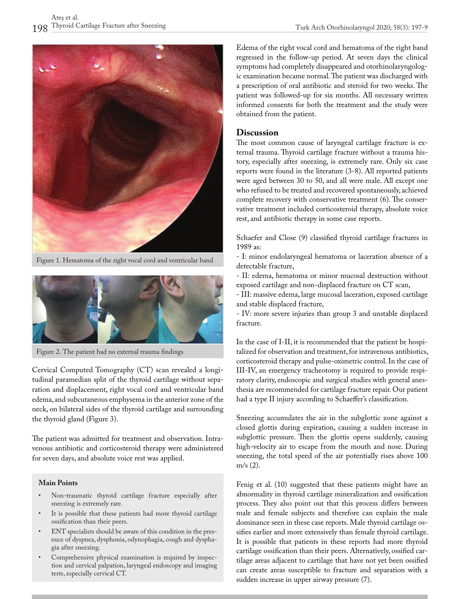



Figure 1. Hematoma of the right vocal cord and ventricular band



Figure 2. The patient had no external trauma findings

Cervical Computed Tomography (CT) scan revealed a longitudinal paramedian split of the thyroid cartilage without separation and displacement, right vocal cord and ventricular band edema, and subcutaneous emphysema in the anterior zone of the neck, on bilateral sides of the thyroid cartilage and surrounding the thyroid gland (Figure 3).

The patient was admitted for treatment and observation. Intravenous antibiotic and corticosteroid therapy were administered for seven days, and absolute voice rest was applied.

#### **Main Points**

- Non-traumatic thyroid cartilage fracture especially after sneezing is extremely rare.
- It is possible that these patients had more thyroid cartilage ossification than their peers.
- ENT specialists should be aware of this condition in the presence of dyspnea, dysphonia, odynophagia, cough and dysphagia after sneezing.
- Comprehensive physical examination is required by inspection and cervical palpation, laryngeal endoscopy and imaging tests, especially cervical CT.

Edema of the right vocal cord and hematoma of the right band regressed in the follow-up period. At seven days the clinical symptoms had completely disappeared and otorhinolaryngologic examination became normal. The patient was discharged with a prescription of oral antibiotic and steroid for two weeks. The patient was followed-up for six months. All necessary written informed consents for both the treatment and the study were obtained from the patient.

### **Discussion**

The most common cause of laryngeal cartilage fracture is external trauma. Thyroid cartilage fracture without a trauma history, especially after sneezing, is extremely rare. Only six case reports were found in the literature (3-8). All reported patients were aged between 30 to 50, and all were male. All except one who refused to be treated and recovered spontaneously, achieved complete recovery with conservative treatment (6). The conservative treatment included corticosteroid therapy, absolute voice rest, and antibiotic therapy in some case reports.

Schaefer and Close (9) classified thyroid cartilage fractures in 1989 as:

- I: minor endolaryngeal hematoma or laceration absence of a detectable fracture,

- II: edema, hematoma or minor mucosal destruction without exposed cartilage and non-displaced fracture on CT scan,

- III: massive edema, large mucosal laceration, exposed cartilage and stable displaced fracture,

- IV: more severe injuries than group 3 and unstable displaced fracture.

In the case of I-II, it is recommended that the patient be hospitalized for observation and treatment, for intravenous antibiotics, corticosteroid therapy and pulse-oximetric control. In the case of III-IV, an emergency tracheotomy is required to provide respiratory clarity, endoscopic and surgical studies with general anesthesia are recommended for cartilage fracture repair. Our patient had a type II injury according to Schaeffer's classification.

Sneezing accumulates the air in the subglottic zone against a closed glottis during expiration, causing a sudden increase in subglottic pressure. Then the glottis opens suddenly, causing high-velocity air to escape from the mouth and nose. During sneezing, the total speed of the air potentially rises above 100 m/s (2).

Fenig et al. (10) suggested that these patients might have an abnormality in thyroid cartilage mineralization and ossification process. They also point out that this process differs between male and female subjects and therefore can explain the male dominance seen in these case reports. Male thyroid cartilage ossifies earlier and more extensively than female thyroid cartilage. It is possible that patients in these reports had more thyroid cartilage ossification than their peers. Alternatively, ossified cartilage areas adjacent to cartilage that have not yet been ossified can create areas susceptible to fracture and separation with a sudden increase in upper airway pressure (7).